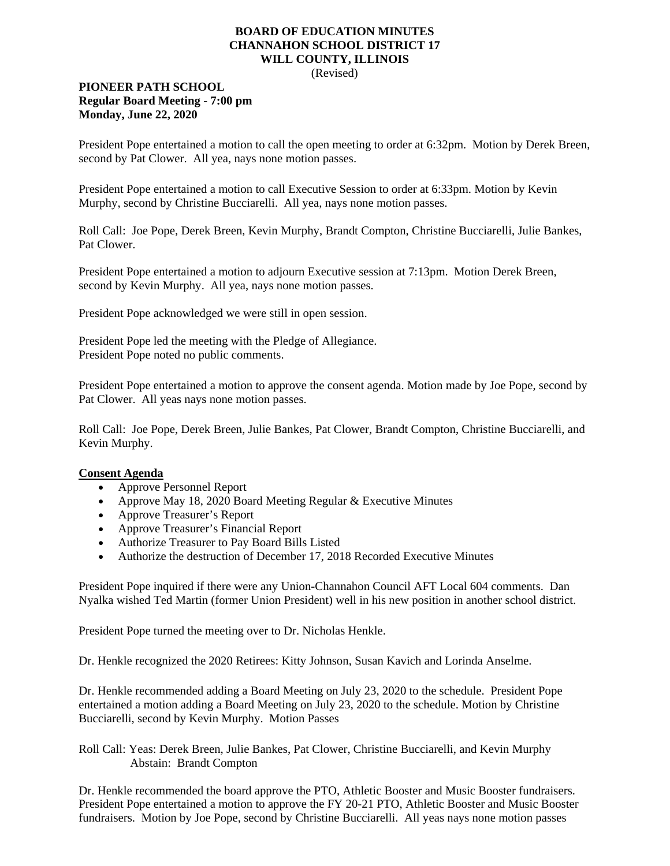## **BOARD OF EDUCATION MINUTES CHANNAHON SCHOOL DISTRICT 17 WILL COUNTY, ILLINOIS**

(Revised)

## **PIONEER PATH SCHOOL Regular Board Meeting - 7:00 pm Monday, June 22, 2020**

President Pope entertained a motion to call the open meeting to order at 6:32pm. Motion by Derek Breen, second by Pat Clower. All yea, nays none motion passes.

President Pope entertained a motion to call Executive Session to order at 6:33pm. Motion by Kevin Murphy, second by Christine Bucciarelli. All yea, nays none motion passes.

Roll Call: Joe Pope, Derek Breen, Kevin Murphy, Brandt Compton, Christine Bucciarelli, Julie Bankes, Pat Clower.

President Pope entertained a motion to adjourn Executive session at 7:13pm. Motion Derek Breen, second by Kevin Murphy. All yea, nays none motion passes.

President Pope acknowledged we were still in open session.

President Pope led the meeting with the Pledge of Allegiance. President Pope noted no public comments.

President Pope entertained a motion to approve the consent agenda. Motion made by Joe Pope, second by Pat Clower. All yeas nays none motion passes.

Roll Call: Joe Pope, Derek Breen, Julie Bankes, Pat Clower, Brandt Compton, Christine Bucciarelli, and Kevin Murphy.

## **Consent Agenda**

- Approve Personnel Report
- Approve May 18, 2020 Board Meeting Regular & Executive Minutes
- Approve Treasurer's Report
- Approve Treasurer's Financial Report
- Authorize Treasurer to Pay Board Bills Listed
- Authorize the destruction of December 17, 2018 Recorded Executive Minutes

President Pope inquired if there were any Union-Channahon Council AFT Local 604 comments. Dan Nyalka wished Ted Martin (former Union President) well in his new position in another school district.

President Pope turned the meeting over to Dr. Nicholas Henkle.

Dr. Henkle recognized the 2020 Retirees: Kitty Johnson, Susan Kavich and Lorinda Anselme.

Dr. Henkle recommended adding a Board Meeting on July 23, 2020 to the schedule. President Pope entertained a motion adding a Board Meeting on July 23, 2020 to the schedule. Motion by Christine Bucciarelli, second by Kevin Murphy. Motion Passes

Roll Call: Yeas: Derek Breen, Julie Bankes, Pat Clower, Christine Bucciarelli, and Kevin Murphy Abstain: Brandt Compton

Dr. Henkle recommended the board approve the PTO, Athletic Booster and Music Booster fundraisers. President Pope entertained a motion to approve the FY 20-21 PTO, Athletic Booster and Music Booster fundraisers. Motion by Joe Pope, second by Christine Bucciarelli. All yeas nays none motion passes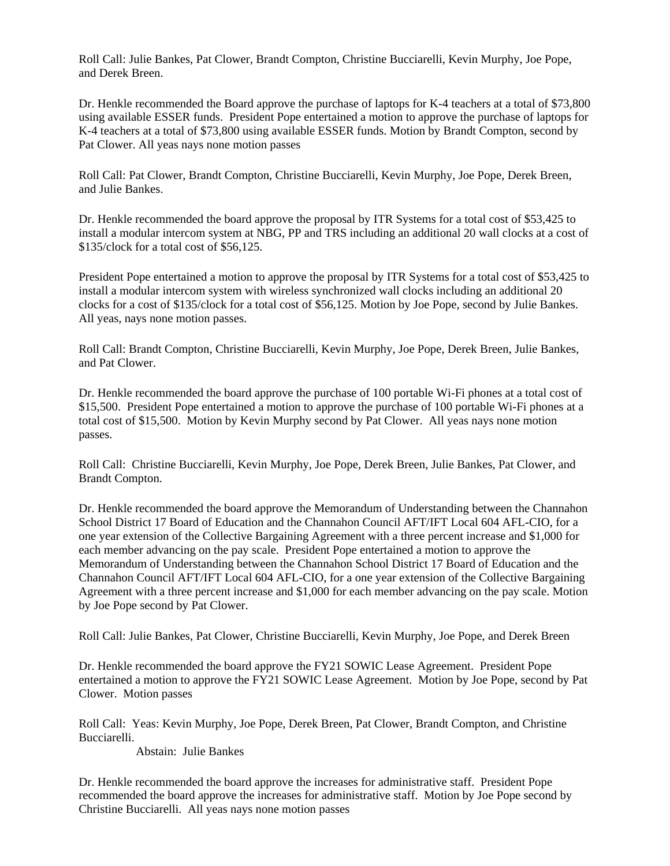Roll Call: Julie Bankes, Pat Clower, Brandt Compton, Christine Bucciarelli, Kevin Murphy, Joe Pope, and Derek Breen.

Dr. Henkle recommended the Board approve the purchase of laptops for K-4 teachers at a total of \$73,800 using available ESSER funds. President Pope entertained a motion to approve the purchase of laptops for K-4 teachers at a total of \$73,800 using available ESSER funds. Motion by Brandt Compton, second by Pat Clower. All yeas nays none motion passes

Roll Call: Pat Clower, Brandt Compton, Christine Bucciarelli, Kevin Murphy, Joe Pope, Derek Breen, and Julie Bankes.

Dr. Henkle recommended the board approve the proposal by ITR Systems for a total cost of \$53,425 to install a modular intercom system at NBG, PP and TRS including an additional 20 wall clocks at a cost of \$135/clock for a total cost of \$56,125.

President Pope entertained a motion to approve the proposal by ITR Systems for a total cost of \$53,425 to install a modular intercom system with wireless synchronized wall clocks including an additional 20 clocks for a cost of \$135/clock for a total cost of \$56,125. Motion by Joe Pope, second by Julie Bankes. All yeas, nays none motion passes.

Roll Call: Brandt Compton, Christine Bucciarelli, Kevin Murphy, Joe Pope, Derek Breen, Julie Bankes, and Pat Clower.

Dr. Henkle recommended the board approve the purchase of 100 portable Wi-Fi phones at a total cost of \$15,500. President Pope entertained a motion to approve the purchase of 100 portable Wi-Fi phones at a total cost of \$15,500. Motion by Kevin Murphy second by Pat Clower. All yeas nays none motion passes.

Roll Call: Christine Bucciarelli, Kevin Murphy, Joe Pope, Derek Breen, Julie Bankes, Pat Clower, and Brandt Compton.

Dr. Henkle recommended the board approve the Memorandum of Understanding between the Channahon School District 17 Board of Education and the Channahon Council AFT/IFT Local 604 AFL-CIO, for a one year extension of the Collective Bargaining Agreement with a three percent increase and \$1,000 for each member advancing on the pay scale. President Pope entertained a motion to approve the Memorandum of Understanding between the Channahon School District 17 Board of Education and the Channahon Council AFT/IFT Local 604 AFL-CIO, for a one year extension of the Collective Bargaining Agreement with a three percent increase and \$1,000 for each member advancing on the pay scale. Motion by Joe Pope second by Pat Clower.

Roll Call: Julie Bankes, Pat Clower, Christine Bucciarelli, Kevin Murphy, Joe Pope, and Derek Breen

Dr. Henkle recommended the board approve the FY21 SOWIC Lease Agreement. President Pope entertained a motion to approve the FY21 SOWIC Lease Agreement. Motion by Joe Pope, second by Pat Clower. Motion passes

Roll Call: Yeas: Kevin Murphy, Joe Pope, Derek Breen, Pat Clower, Brandt Compton, and Christine Bucciarelli.

Abstain: Julie Bankes

Dr. Henkle recommended the board approve the increases for administrative staff. President Pope recommended the board approve the increases for administrative staff. Motion by Joe Pope second by Christine Bucciarelli. All yeas nays none motion passes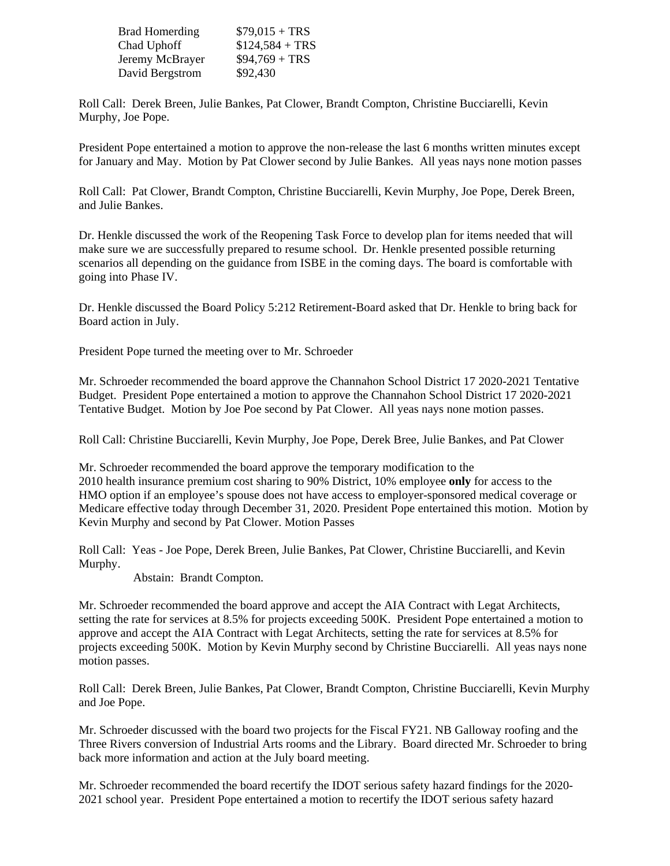| <b>Brad Homerding</b> | $$79,015 + TRS$  |
|-----------------------|------------------|
| Chad Uphoff           | $$124,584 + TRS$ |
| Jeremy McBrayer       | $$94,769 + TRS$  |
| David Bergstrom       | \$92,430         |

Roll Call: Derek Breen, Julie Bankes, Pat Clower, Brandt Compton, Christine Bucciarelli, Kevin Murphy, Joe Pope.

President Pope entertained a motion to approve the non-release the last 6 months written minutes except for January and May. Motion by Pat Clower second by Julie Bankes. All yeas nays none motion passes

Roll Call: Pat Clower, Brandt Compton, Christine Bucciarelli, Kevin Murphy, Joe Pope, Derek Breen, and Julie Bankes.

Dr. Henkle discussed the work of the Reopening Task Force to develop plan for items needed that will make sure we are successfully prepared to resume school. Dr. Henkle presented possible returning scenarios all depending on the guidance from ISBE in the coming days. The board is comfortable with going into Phase IV.

Dr. Henkle discussed the Board Policy 5:212 Retirement-Board asked that Dr. Henkle to bring back for Board action in July.

President Pope turned the meeting over to Mr. Schroeder

Mr. Schroeder recommended the board approve the Channahon School District 17 2020-2021 Tentative Budget. President Pope entertained a motion to approve the Channahon School District 17 2020-2021 Tentative Budget. Motion by Joe Poe second by Pat Clower. All yeas nays none motion passes.

Roll Call: Christine Bucciarelli, Kevin Murphy, Joe Pope, Derek Bree, Julie Bankes, and Pat Clower

Mr. Schroeder recommended the board approve the temporary modification to the 2010 health insurance premium cost sharing to 90% District, 10% employee **only** for access to the HMO option if an employee's spouse does not have access to employer-sponsored medical coverage or Medicare effective today through December 31, 2020. President Pope entertained this motion. Motion by Kevin Murphy and second by Pat Clower. Motion Passes

Roll Call: Yeas - Joe Pope, Derek Breen, Julie Bankes, Pat Clower, Christine Bucciarelli, and Kevin Murphy.

Abstain: Brandt Compton.

Mr. Schroeder recommended the board approve and accept the AIA Contract with Legat Architects, setting the rate for services at 8.5% for projects exceeding 500K. President Pope entertained a motion to approve and accept the AIA Contract with Legat Architects, setting the rate for services at 8.5% for projects exceeding 500K. Motion by Kevin Murphy second by Christine Bucciarelli. All yeas nays none motion passes.

Roll Call: Derek Breen, Julie Bankes, Pat Clower, Brandt Compton, Christine Bucciarelli, Kevin Murphy and Joe Pope.

Mr. Schroeder discussed with the board two projects for the Fiscal FY21. NB Galloway roofing and the Three Rivers conversion of Industrial Arts rooms and the Library. Board directed Mr. Schroeder to bring back more information and action at the July board meeting.

Mr. Schroeder recommended the board recertify the IDOT serious safety hazard findings for the 2020- 2021 school year. President Pope entertained a motion to recertify the IDOT serious safety hazard